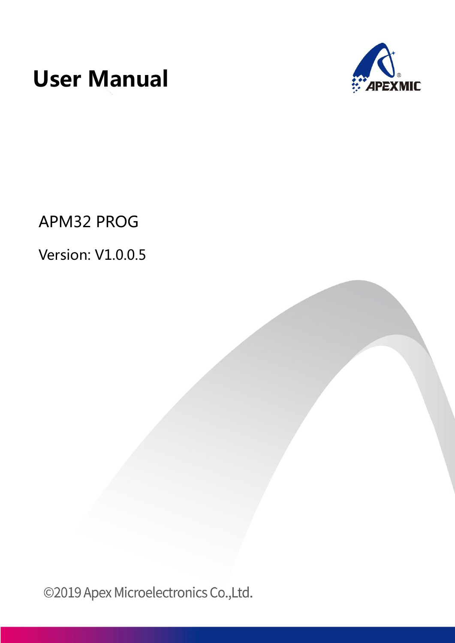



APM32 PROG

# Version: V1.0.0.5

©2019 Apex Microelectronics Co.,Ltd.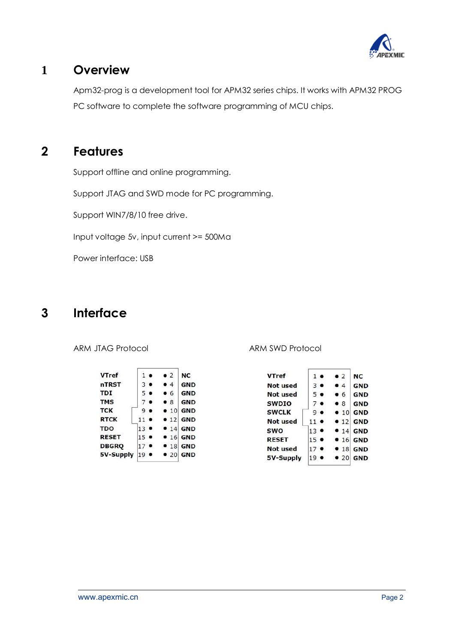

## **1 Overview**

Apm32-prog is a development tool for APM32 series chips. It works with APM32 PROG PC software to complete the software programming of MCU chips.

## **2 Features**

Support offline and online programming.

Support JTAG and SWD mode for PC programming.

Support WIN7/8/10 free drive.

Input voltage 5v, input current >= 500Ma

Power interface: USB

## **3 Interface**

| <b>VTref</b> |                | $1 \bullet$    | $\bullet$ 2  | NC         |
|--------------|----------------|----------------|--------------|------------|
| nTRST        |                | 3 <sub>o</sub> | • 4          | <b>GND</b> |
| <b>TDI</b>   |                | 5 .            | • 6          | <b>GND</b> |
| <b>TMS</b>   |                | 7 <sub>°</sub> | • 8          | <b>GND</b> |
| <b>TCK</b>   |                | 9.             | $\bullet$ 10 | <b>GND</b> |
| <b>RTCK</b>  | $11$ $\bullet$ |                | • 12         | <b>GND</b> |
| <b>TDO</b>   | $13$ $\bullet$ |                |              | $• 14$ GND |
| <b>RESET</b> | $15$ $\bullet$ |                |              | $• 16$ GND |
| <b>DBGRQ</b> | $17$ $\bullet$ |                |              | $• 18$ GND |
| 5V-Supply    | $19$ $\bullet$ |                | • 20         | <b>GND</b> |
|              |                |                |              |            |

ARM JTAG Protocol and ARM SWD Protocol

| <b>VTref</b>    |                 | $1 \bullet$ | $\bullet$ 2 | NC               |
|-----------------|-----------------|-------------|-------------|------------------|
| <b>Not used</b> |                 | $3 \bullet$ | • 4         | GND              |
| Not used        |                 | 5 ●         | • 6         | <b>GND</b>       |
| <b>SWDIO</b>    |                 |             | • 8         | <b>GND</b>       |
| <b>SWCLK</b>    | ، و             |             | • 10        | <b>GND</b>       |
| <b>Not used</b> | $11$ $\bullet$  |             |             | $\bullet$ 12 GND |
| <b>SWO</b>      | $13$ $\bullet$  |             |             | $• 14$ GND       |
| <b>RESET</b>    | $15 \bullet$    |             |             | $\bullet$ 16 GND |
| <b>Not used</b> | 17 <sup>1</sup> |             | • 18        | <b>GND</b>       |
| 5V-Supply       | 19              |             | •20         | <b>GND</b>       |
|                 |                 |             |             |                  |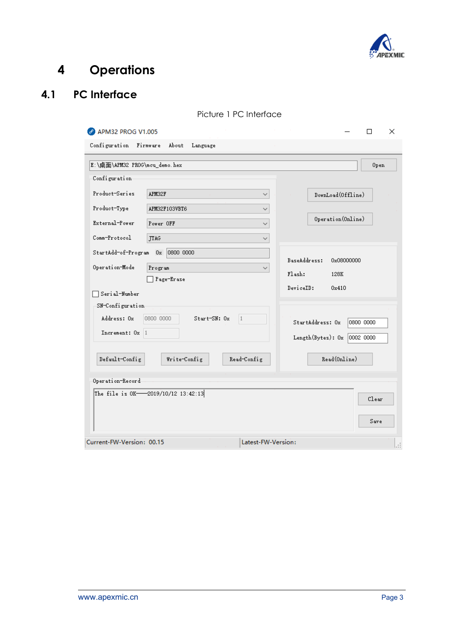

# **4 Operations**

## **4.1 PC Interface**

| 2 APM32 PROG V1.005           |                                    |                    | П.<br>×                        |
|-------------------------------|------------------------------------|--------------------|--------------------------------|
| Configuration                 | Firmware<br>About<br>Language      |                    |                                |
| E:\桌面\APM32 PROG\mcu_demo.hex |                                    |                    | Open                           |
| Configuration                 |                                    |                    |                                |
| Product-Series                | APM32F                             | $\checkmark$       | DownLoad(Offline)              |
| Product-Type                  | APM32F103VBT6                      | $\checkmark$       |                                |
| External-Power                | Power OFF                          | $\checkmark$       | Operation (Online)             |
| Comm-Protocol                 | <b>JTAG</b>                        | $\checkmark$       |                                |
| StartAdd-of-Program           | 0800 0000<br>0x                    |                    | BaseAddress:<br>0x08000000     |
| Operation-Mode                | Program                            | $\checkmark$       | Flash:<br>128K                 |
| Serial-Number                 | Page-Erase                         |                    | DeviceID:<br>0x410             |
| SN-Configuration              |                                    |                    |                                |
| Address: Ox                   | Start-SN: Ox<br>0800 0000          | $\mathbf{1}$       | StartAddress: Ox<br>0800 0000  |
| Increment: Ox 1               |                                    |                    | Length (Bytes): $0x$ 0002 0000 |
| Default-Config                | Write-Config                       | Read-Config        | Read(Online)                   |
| Operation-Record              |                                    |                    |                                |
|                               | The file is OK-2019/10/12 13:42:13 |                    | Clear                          |
|                               |                                    |                    | Save                           |
| Current-FW-Version: 00.15     |                                    | Latest-FW-Version: |                                |

#### Picture 1 PC Interface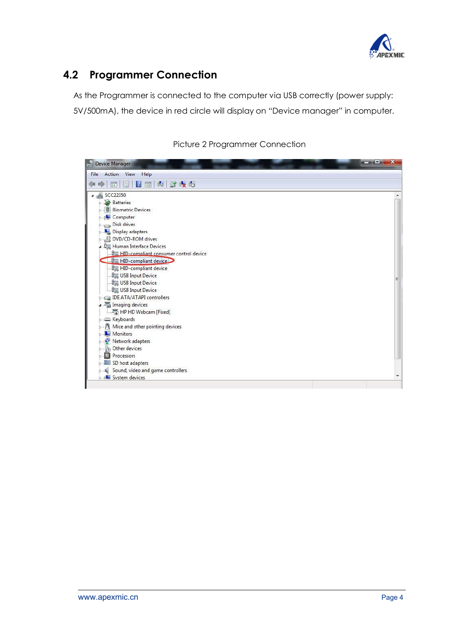

## **4.2 Programmer Connection**

As the Programmer is connected to the computer via USB correctly (power supply: 5V/500mA), the device in red circle will display on "Device manager" in computer.

| Device Manager                                  | $\mathbf x$<br>LЩ. |
|-------------------------------------------------|--------------------|
| Action View<br>Help<br>File                     |                    |
| 2 面 起 脸 收 応<br>$\Box$<br>同<br>eð<br>⇚           |                    |
| SCC22350                                        |                    |
| <b>Batteries</b>                                |                    |
| <b>Biometric Devices</b>                        |                    |
| Computer                                        |                    |
| Disk drives<br>$\Box$                           |                    |
| Display adapters                                |                    |
| DVD/CD-ROM drives                               |                    |
| <b>Um</b> Human Interface Devices               |                    |
| <b>Om HID-compliant consumer control device</b> |                    |
| HID-compliant device                            |                    |
| <b>Um</b> HID-compliant device                  |                    |
| USB Input Device                                | Ξ                  |
| USB Input Device                                |                    |
| USB Input Device                                |                    |
| <b>IDE ATA/ATAPI controllers</b>                |                    |
| Imaging devices                                 |                    |
| HP HD Webcam [Fixed]                            |                    |
| Exploands                                       |                    |
| M Mice and other pointing devices               |                    |
| Monitors                                        |                    |
| Network adapters                                |                    |
| <b>D</b> Other devices                          |                    |
| Processors                                      |                    |
| SD host adapters                                |                    |
| Sound, video and game controllers               |                    |
| <b>Dank</b> System devices                      |                    |

Picture 2 Programmer Connection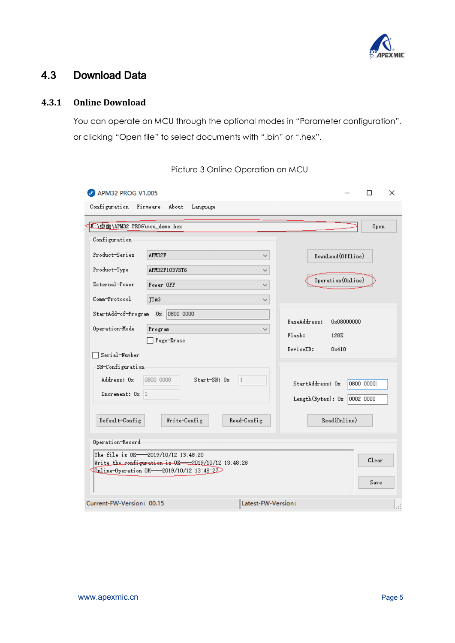

### 4.3 Download Data

#### **4.3.1 Online Download**

You can operate on MCU through the optional modes in "Parameter configuration", or clicking "Open file" to select documents with ".bin" or ".hex".

| 2 APM32 PROG V1.005             |                                                                                                                                              |                    |                                | ×<br>П    |
|---------------------------------|----------------------------------------------------------------------------------------------------------------------------------------------|--------------------|--------------------------------|-----------|
| Configuration                   | Firmware<br>About<br>Language                                                                                                                |                    |                                |           |
| CE: 国面\APM32 PROG\mcu_demo. hex |                                                                                                                                              |                    |                                | Open      |
| Configuration                   |                                                                                                                                              |                    |                                |           |
| Product-Series                  | APM32F                                                                                                                                       | ✓                  | DownLoad(Offline)              |           |
| Product-Type                    | APM32F103VBT6                                                                                                                                | $\checkmark$       |                                |           |
| External-Power                  | Power OFF                                                                                                                                    | $\checkmark$       | Operation (Online)             |           |
| Comm-Protocol                   | TTAG                                                                                                                                         | ✓                  |                                |           |
| StartAdd-of-Program             | 0800 0000<br>0x                                                                                                                              |                    | BaseAddress:<br>0x08000000     |           |
| Operation-Mode                  | Program                                                                                                                                      | ✓                  | Flash:<br>128K                 |           |
| □ Serial-Number                 | Page-Erase                                                                                                                                   |                    | DeviceID:<br>0x410             |           |
| SN-Configuration                |                                                                                                                                              |                    |                                |           |
| Address: Ox                     | 0800 0000<br>Start-SN: Ox                                                                                                                    | $\mathbf{1}$       | StartAddress: Ox               | 0800 0000 |
| Increment: Ox 1                 |                                                                                                                                              |                    | Length (Bytes): $0x$ 0002 0000 |           |
| Default-Config                  | Write-Config                                                                                                                                 | Read-Config        | Read(Online)                   |           |
| Operation-Record                |                                                                                                                                              |                    |                                |           |
|                                 | The file is OK-2019/10/12 13:48:20<br>Write the configuration is OK-2019/10/12 13:48:26<br>$\sqrt{0}$ pline-Operation OK-2019/10/12 13:48:27 |                    |                                | Clear     |
|                                 |                                                                                                                                              |                    |                                | Save      |
| Current-FW-Version: 00.15       |                                                                                                                                              | Latest-FW-Version: |                                |           |

Picture 3 Online Operation on MCU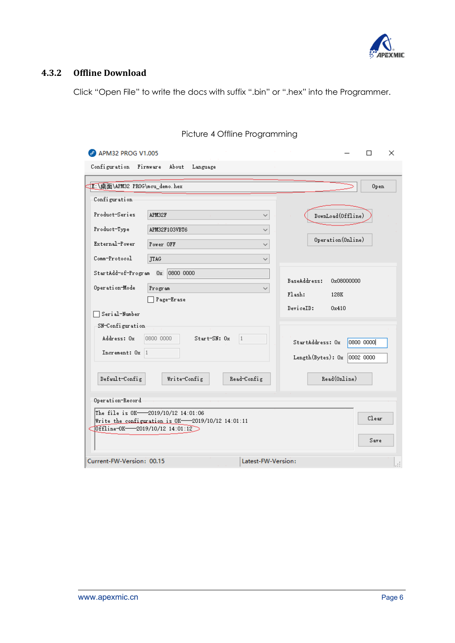

### **4.3.2 Offline Download**

Click "Open File" to write the docs with suffix ".bin" or ".hex" into the Programmer.

| 2 APM32 PROG V1.005                                                                                                            | ×                              |
|--------------------------------------------------------------------------------------------------------------------------------|--------------------------------|
| Configuration<br>Firmware<br>About<br>Language                                                                                 |                                |
| 图:\桌面\APM32 PROG\mcu_demo.hex                                                                                                  | Open                           |
| Configuration                                                                                                                  |                                |
| Product-Series<br>APM32F<br>$\checkmark$                                                                                       | DownLoad(Offline)              |
| Product-Type<br>APM32F103VBT6<br>$\checkmark$                                                                                  |                                |
| External-Power<br>Power OFF<br>$\checkmark$                                                                                    | Operation (Online)             |
| Comm-Protocol<br><b>JTAG</b><br>$\checkmark$                                                                                   |                                |
| 0800 0000<br>StartAdd-of-Program Ox                                                                                            | BaseAddress:<br>0x08000000     |
| Operation-Mode<br>Program<br>$\checkmark$                                                                                      | Flask:<br>128K                 |
| Page-Erase<br>Serial-Number                                                                                                    | DeviceID:<br>0x410             |
| SN-Configuration                                                                                                               |                                |
| Address: Ox<br>0800 0000<br>$Start-SN: 0x$<br>$\vert$ 1<br>Increment: Ox 1                                                     | StartAddress: Ox<br>0800 0000  |
|                                                                                                                                | Length (Bytes): $0x$ 0002 0000 |
| Default-Config<br>Write-Config<br>Read-Config                                                                                  | Read(Online)                   |
| Operation-Record                                                                                                               |                                |
| The file is OK-2019/10/12 14:01:06<br>Write the configuration is OK-2019/10/12 14:01:11<br>0ffline-0K-2019/10/12 14:01:12<br>c | Clear<br>Save                  |
| Current-FW-Version: 00.15<br>Latest-FW-Version:                                                                                | Æ                              |

#### Picture 4 Offline Programming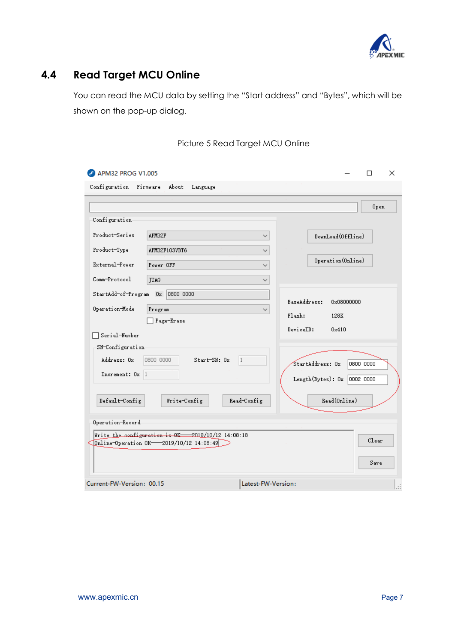

## **4.4 Read Target MCU Online**

You can read the MCU data by setting the "Start address" and "Bytes", which will be shown on the pop-up dialog.

| APM32 PROG V1.005<br>$\mathscr{S}$                                                           | ×<br>п                                            |
|----------------------------------------------------------------------------------------------|---------------------------------------------------|
| Configuration<br>Firmware<br>About<br>Language                                               |                                                   |
|                                                                                              | Open                                              |
| Configuration                                                                                |                                                   |
| Product-Series<br>APM32F<br>$\checkmark$                                                     | DownLoad(Offline)                                 |
| Product-Type<br>APM32F103VBT6<br>$\checkmark$                                                |                                                   |
| External-Power<br>Power OFF<br>✓                                                             | Operation (Online)                                |
| Comm-Protocol<br>TTAG<br>$\checkmark$                                                        |                                                   |
| 0800 0000<br>StartAdd-of-Program<br>0x                                                       |                                                   |
| Operation-Mode<br>Program<br>୰                                                               | BaseAddress:<br>0x08000000<br>Flash:<br>128K      |
| Page-Erase                                                                                   | DeviceID:<br>0x410                                |
| Serial-Number                                                                                |                                                   |
| SN-Configuration                                                                             |                                                   |
| Address: Ox<br>Start-SN: Ox<br>0800 0000<br>1                                                | $\overline{\text{StartAddress: 0x}}$<br>0800 0000 |
| Increment: Ox 1                                                                              | Length (Bytes): $0x$ 0002 0000                    |
| Default-Config<br>Write-Config<br>Read-Config                                                | Read(Online)                                      |
|                                                                                              |                                                   |
| Operation-Record-                                                                            |                                                   |
| Write the configuration is 0K-2019/10/12 14:08:18<br>Online-Operation OK-2019/10/12 14:08:49 | Clear                                             |
|                                                                                              | Save                                              |
| Current-FW-Version: 00.15<br>Latest-FW-Version:                                              | J.                                                |

#### Picture 5 Read Target MCU Online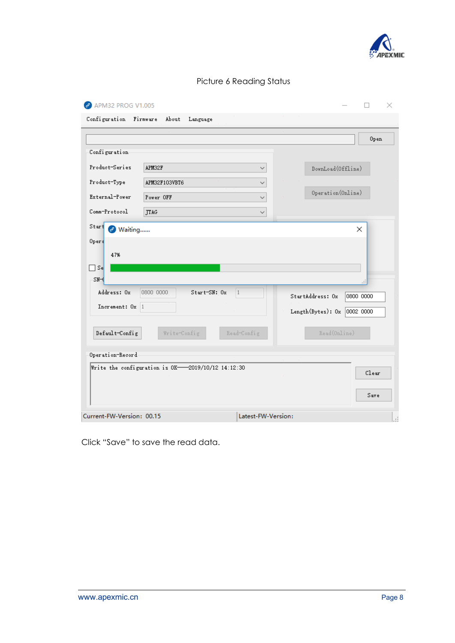

|  | Picture 6 Reading Status |  |
|--|--------------------------|--|
|  |                          |  |

| <b>P</b> APM32 PROG V1.005        |                                                   |                                    | ×         |
|-----------------------------------|---------------------------------------------------|------------------------------------|-----------|
| Configuration Firmware            | About<br>Language                                 |                                    |           |
|                                   |                                                   |                                    | Open      |
| Configuration                     |                                                   |                                    |           |
| Product-Series                    | APM32F                                            | DownLoad(Offline)<br>$\checkmark$  |           |
| Product-Type                      | APM32F103VBT6                                     | $\checkmark$                       |           |
| External-Power                    | Power OFF                                         | Operation (Online)<br>$\checkmark$ |           |
| Comm-Protocol                     | <b>JTAG</b>                                       | ◡                                  |           |
| Start<br>Waiting<br>$\mathscr{S}$ |                                                   |                                    | ×         |
| 0 <sub>per</sub>                  |                                                   |                                    |           |
| 47%                               |                                                   |                                    |           |
| ∏Se                               |                                                   |                                    |           |
| $SM-$                             |                                                   |                                    | a.        |
| Address: Ox                       | 0800 0000<br>$Start-SN: 0x$                       | $\vert$ 1<br>StartAddress: Ox      | 0800 0000 |
| Increment: Ox 1                   |                                                   | Length(Bytes): Ox                  | 0002 0000 |
| $\texttt{Default-Config}$         | Write-Config                                      | Read(Online)<br>Read-Config        |           |
| Operation-Record                  |                                                   |                                    |           |
|                                   | Write the configuration is OK-2019/10/12 14:12:30 |                                    | Clear     |
|                                   |                                                   |                                    | Save      |
| Current-FW-Version: 00.15         |                                                   | Latest-FW-Version:                 |           |

Click "Save" to save the read data.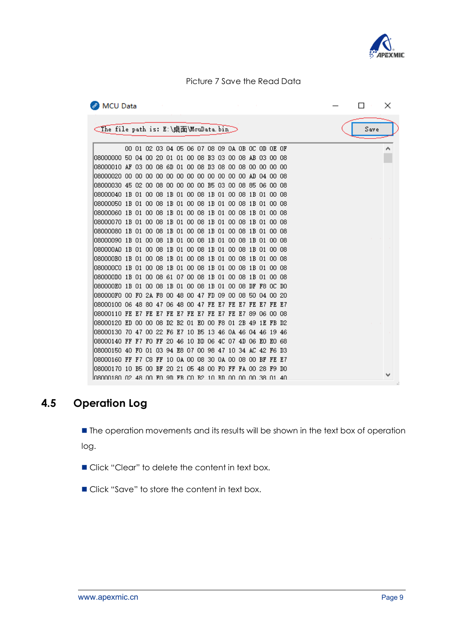

#### Picture 7 Save the Read Data

| <b>P</b> MCU Data                                                                                                                                                       |  |  |  |  |  |  |  |                                                 |  |  |  |      | × |  |
|-------------------------------------------------------------------------------------------------------------------------------------------------------------------------|--|--|--|--|--|--|--|-------------------------------------------------|--|--|--|------|---|--|
| <the e:\桌面\mcudata.bin="" file="" is:="" path=""></the>                                                                                                                 |  |  |  |  |  |  |  |                                                 |  |  |  | Save |   |  |
|                                                                                                                                                                         |  |  |  |  |  |  |  | 00 01 02 03 04 05 06 07 08 09 0A 0B 0C 0D 0E 0F |  |  |  |      |   |  |
| 108000000 50 04 00 20 01 01 00 08 B3 03 00 08 AB 03 00 08                                                                                                               |  |  |  |  |  |  |  |                                                 |  |  |  |      |   |  |
| 108000010 AF 03 00 08 6D 01 00 08 D3 08 00 08 00 00 00 00                                                                                                               |  |  |  |  |  |  |  |                                                 |  |  |  |      |   |  |
|                                                                                                                                                                         |  |  |  |  |  |  |  |                                                 |  |  |  |      |   |  |
| 108000030 45 02 00 08 00 00 00 00 B5 03 00 08 85 06 00 08                                                                                                               |  |  |  |  |  |  |  |                                                 |  |  |  |      |   |  |
| 08000040 1B 01 00 08 1B 01 00 08 1B 01 00 08 1B 01 00 08                                                                                                                |  |  |  |  |  |  |  |                                                 |  |  |  |      |   |  |
| 08000050 1B 01 00 08 1B 01 00 08 1B 01 00 08 1B 01 00 08                                                                                                                |  |  |  |  |  |  |  |                                                 |  |  |  |      |   |  |
| 08000060 1B 01 00 08 1B 01 00 08 1B 01 00 08 1B 01 00 08                                                                                                                |  |  |  |  |  |  |  |                                                 |  |  |  |      |   |  |
| 08000070 1B 01 00 08 1B 01 00 08 1B 01 00 08 1B 01 00 08                                                                                                                |  |  |  |  |  |  |  |                                                 |  |  |  |      |   |  |
| 08000080 1B 01 00 08 1B 01 00 08 1B 01 00 08 1B 01 00 08                                                                                                                |  |  |  |  |  |  |  |                                                 |  |  |  |      |   |  |
| 08000090 1B 01 00 08 1B 01 00 08 1B 01 00 08 1B 01 00 08                                                                                                                |  |  |  |  |  |  |  |                                                 |  |  |  |      |   |  |
| 080000AO 1B 01 00 08 1B 01 00 08 1B 01 00 08 1B 01 00 08                                                                                                                |  |  |  |  |  |  |  |                                                 |  |  |  |      |   |  |
| 080000B0 1B 01 00 08 1B 01 00 08 1B 01 00 08 1B 01 00 08                                                                                                                |  |  |  |  |  |  |  |                                                 |  |  |  |      |   |  |
| 080000CO 1B 01 00 08 1B 01 00 08 1B 01 00 08 1B 01 00 08                                                                                                                |  |  |  |  |  |  |  |                                                 |  |  |  |      |   |  |
| 080000D0 1B 01 00 08 61 07 00 08 1B 01 00 08 1B 01 00 08                                                                                                                |  |  |  |  |  |  |  |                                                 |  |  |  |      |   |  |
| 080000E0 1B 01 00 08 1B 01 00 08 1B 01 00 08 DF F8 OC DO                                                                                                                |  |  |  |  |  |  |  |                                                 |  |  |  |      |   |  |
| 080000F0 00 F0 2A F8 00 48 00 47 FD 09 00 08 50 04 00 20<br> 08000100            06    48    80    47    06    48    00    47    FE    E7  FE    E7  FE    E7  FE    E7 |  |  |  |  |  |  |  |                                                 |  |  |  |      |   |  |
| 08000110 FE E7 FE E7 FE E7 FE E7 FE E7 FE E7 FE E7 89 06 00 08                                                                                                          |  |  |  |  |  |  |  |                                                 |  |  |  |      |   |  |
| 08000120 ED 00 00 08 D2 B2 01 E0 00 F8 01 2B 49 1E FB D2                                                                                                                |  |  |  |  |  |  |  |                                                 |  |  |  |      |   |  |
| 08000130 70 47 00 22 F6 E7 10 B5 13 46 OA 46 O4 46 19 46                                                                                                                |  |  |  |  |  |  |  |                                                 |  |  |  |      |   |  |
| 08000140 FF F7 F0 FF 20 46 10 BD 06 4C 07 4D 06 E0 E0 68                                                                                                                |  |  |  |  |  |  |  |                                                 |  |  |  |      |   |  |
| 08000150    40    F0    01    03    94    E8    07    00    98    47    10    34    AC    42    F6    D3                                                                |  |  |  |  |  |  |  |                                                 |  |  |  |      |   |  |
| 08000160 FF F7 C8 FF 10 0A 00 08 30 0A 00 08 00 BF FE E7                                                                                                                |  |  |  |  |  |  |  |                                                 |  |  |  |      |   |  |
| 08000170 10 B5 00 BF 20 21 05 48 00 F0 FF FA 00 28 F9 D0                                                                                                                |  |  |  |  |  |  |  |                                                 |  |  |  |      |   |  |
| 108000180.02.48.00.1% 91.81.1% CO-B2.10.1% 00.00.00.38.01.40                                                                                                            |  |  |  |  |  |  |  |                                                 |  |  |  |      |   |  |

### **4.5 Operation Log**

**The operation movements and its results will be shown in the text box of operation** log.

- Click "Clear" to delete the content in text box.
- Click "Save" to store the content in text box.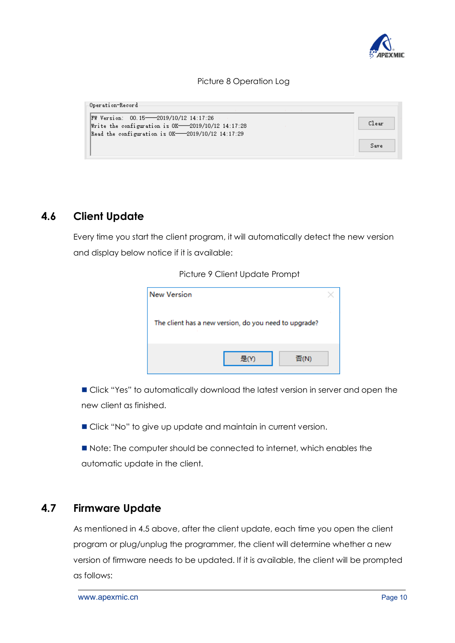

#### Picture 8 Operation Log

| FW Version: 00.15-2019/10/12 14:17:26<br>Write the configuration is $0K$ -2019/10/12 14:17:28 | Clear |
|-----------------------------------------------------------------------------------------------|-------|
| Read the configuration is $0K$ -2019/10/12 14:17:29                                           |       |
|                                                                                               | Save  |

### **4.6 Client Update**

Every time you start the client program, it will automatically detect the new version and display below notice if it is available:

#### Picture 9 Client Update Prompt

| <b>New Version</b>                                    |  |
|-------------------------------------------------------|--|
| The client has a new version, do you need to upgrade? |  |
| <b>是(Y)</b><br>否(N)                                   |  |

 Click "Yes" to automatically download the latest version in server and open the new client as finished.

Click "No" to give up update and maintain in current version.

Note: The computer should be connected to internet, which enables the automatic update in the client.

### **4.7 Firmware Update**

As mentioned in 4.5 above, after the client update, each time you open the client program or plug/unplug the programmer, the client will determine whether a new version of firmware needs to be updated. If it is available, the client will be prompted as follows: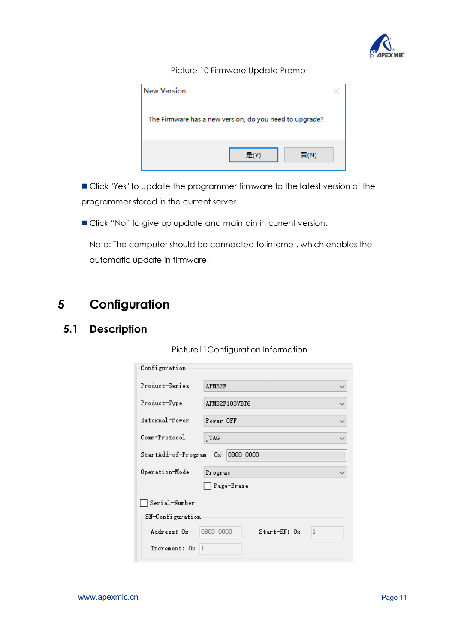

#### Picture 10 Firmware Update Prompt

| <b>New Version</b>                                      |      |
|---------------------------------------------------------|------|
| The Firmware has a new version, do you need to upgrade? |      |
|                                                         | 否(N) |

 Click "Yes" to update the programmer firmware to the latest version of the programmer stored in the current server.

Click "No" to give up update and maintain in current version.

Note: The computer should be connected to internet, which enables the automatic update in firmware.

## **5 Configuration**

## **5.1 Description**

Picture11Configuration Information

| Configuration                          |                                             |  |
|----------------------------------------|---------------------------------------------|--|
| Product-Series                         | APM32F<br>$\checkmark$                      |  |
| Product-Type                           | APM32F103VBT6<br>∨                          |  |
| External-Power                         | Power OFF                                   |  |
| Comm-Protocol                          | <b>JTAG</b><br>$\checkmark$                 |  |
| 0800 0000<br>StartAdd-of-Program<br>0x |                                             |  |
| Operation-Mode                         | Program                                     |  |
|                                        | Page-Erase                                  |  |
| Serial-Number                          |                                             |  |
| SN-Configuration                       |                                             |  |
| Address: Ox                            | $\mathbf{1}$<br>0800 0000<br>$Start=SN: 0x$ |  |
| Increment: Ox                          | $\overline{1}$                              |  |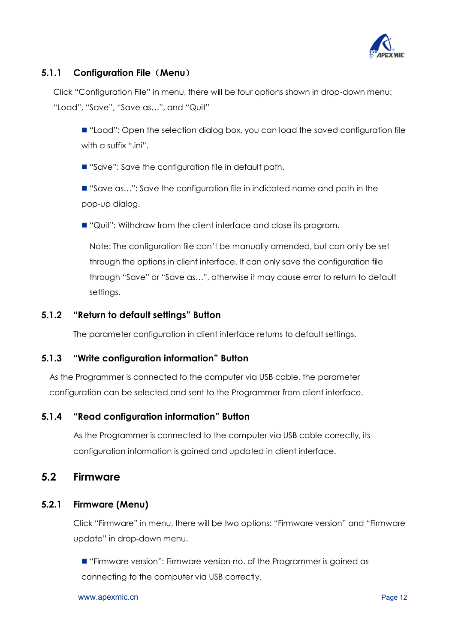

### **5.1.1 Configuration File**(**Menu**)

Click "Configuration File" in menu, there will be four options shown in drop-down menu: "Load", "Save", "Save as…", and "Quit"

■ "Load": Open the selection dialog box, you can load the saved configuration file with a suffix ".ini".

■ "Save": Save the configuration file in default path.

■ "Save as...": Save the configuration file in indicated name and path in the pop-up dialog.

■ "Quit": Withdraw from the client interface and close its program.

Note: The configuration file can't be manually amended, but can only be set through the options in client interface. It can only save the configuration file through "Save" or "Save as…", otherwise it may cause error to return to default settings.

#### **5.1.2 "Return to default settings" Button**

The parameter configuration in client interface returns to default settings.

#### **5.1.3 "Write configuration information" Button**

As the Programmer is connected to the computer via USB cable, the parameter configuration can be selected and sent to the Programmer from client interface.

#### **5.1.4 "Read configuration information" Button**

As the Programmer is connected to the computer via USB cable correctly, its configuration information is gained and updated in client interface.

### **5.2 Firmware**

#### **5.2.1 Firmware (Menu)**

Click "Firmware" in menu, there will be two options: "Firmware version" and "Firmware update" in drop-down menu.

 $\blacksquare$  "Firmware version": Firmware version no. of the Programmer is gained as connecting to the computer via USB correctly.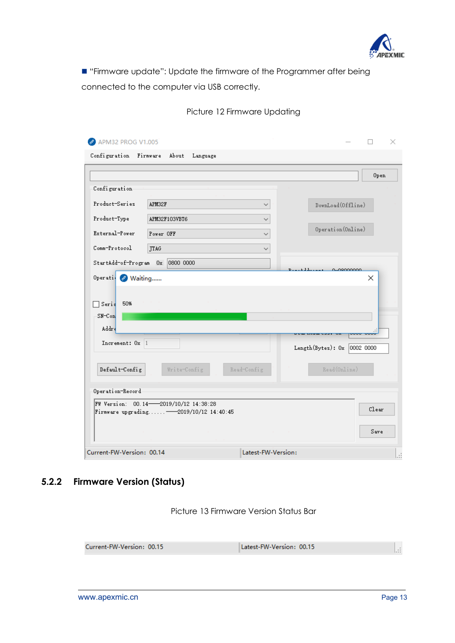

 "Firmware update": Update the firmware of the Programmer after being connected to the computer via USB correctly.

|                                |                                          |              |                                | ×     |
|--------------------------------|------------------------------------------|--------------|--------------------------------|-------|
|                                | Configuration Firmware About Language    |              |                                |       |
|                                |                                          |              |                                | Open. |
| Configuration                  |                                          |              |                                |       |
| Product-Series                 | APM32F                                   | $\checkmark$ | DownLoad(Offline)              |       |
| Product-Type                   | APM32F103VBT6                            | $\checkmark$ |                                |       |
| External-Power                 | Power OFF                                | $\checkmark$ | Operation (Online)             |       |
|                                |                                          |              |                                |       |
| Comm-Protocol                  | <b>JTAG</b>                              | $\checkmark$ |                                |       |
| StartAdd-of-Program Ox         | 0800 0000                                |              | 0.09000000                     |       |
| Operati & Waiting              |                                          |              |                                | ×     |
| Seris<br>$SM$ – $Con$<br>Addre |                                          |              |                                |       |
| Increment: Ox 1                |                                          |              |                                |       |
|                                |                                          |              |                                |       |
|                                |                                          |              | Length (Bytes): $0x$ 0002 0000 |       |
| Default-Config                 | Write-Config                             | Read-Config  | Read(Online)                   |       |
|                                |                                          |              |                                |       |
|                                | FW Version: 00.14 2019/10/12 14:38:28    |              |                                |       |
|                                | Firmware upgrading - 2019/10/12 14:40:45 |              |                                | Clear |
| Operation-Record               |                                          |              |                                | Save  |

Picture 12 Firmware Updating

### **5.2.2 Firmware Version (Status)**

Picture 13 Firmware Version Status Bar

| Current-FW-Version: 00.15 | Latest-FW-Version: 00.15 |  |
|---------------------------|--------------------------|--|
|---------------------------|--------------------------|--|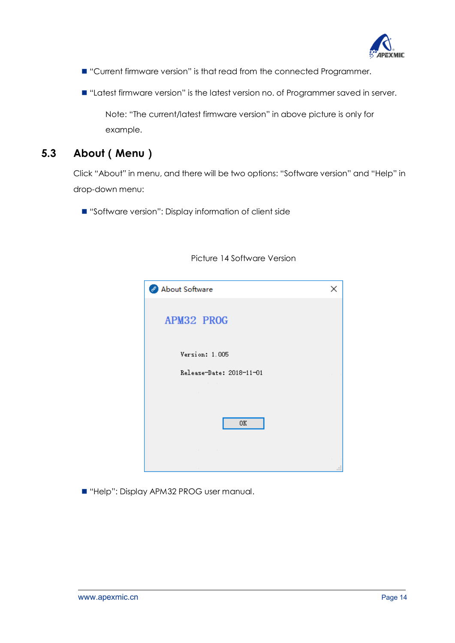

"Current firmware version" is that read from the connected Programmer.

■ "Latest firmware version" is the latest version no. of Programmer saved in server.

Note: "The current/latest firmware version" in above picture is only for example.

### **5.3 About**(**Menu**)

Click "About" in menu, and there will be two options: "Software version" and "Help" in drop-down menu:

■ "Software version": Display information of client side

| About Software           | × |
|--------------------------|---|
|                          |   |
|                          |   |
| APM32 PROG               |   |
|                          |   |
| Version: 1.005           |   |
| Release-Date: 2018-11-01 |   |
|                          |   |
|                          |   |
|                          |   |
| 0K                       |   |
|                          |   |
|                          |   |
|                          |   |

#### Picture 14 Software Version

■ "Help": Display APM32 PROG user manual.